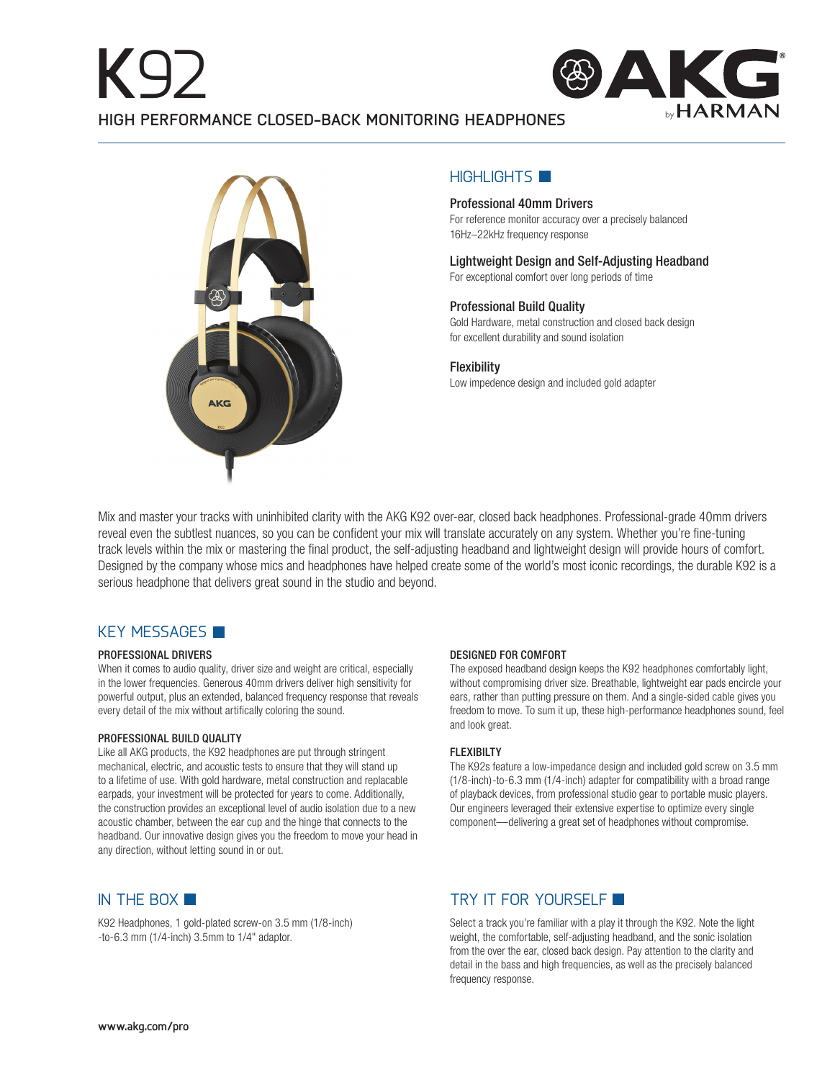



## $H$ IGHLIGHTS

## Professional 40mm Drivers

For reference monitor accuracy over a precisely balanced 16Hz–22kHz frequency response

Lightweight Design and Self-Adjusting Headband For exceptional comfort over long periods of time

## Professional Build Quality

Gold Hardware, metal construction and closed back design for excellent durability and sound isolation

**Flexibility** Low impedence design and included gold adapter

Mix and master your tracks with uninhibited clarity with the AKG K92 over-ear, closed back headphones. Professional-grade 40mm drivers reveal even the subtlest nuances, so you can be confident your mix will translate accurately on any system. Whether you're fine-tuning track levels within the mix or mastering the final product, the self-adjusting headband and lightweight design will provide hours of comfort. Designed by the company whose mics and headphones have helped create some of the world's most iconic recordings, the durable K92 is a serious headphone that delivers great sound in the studio and beyond.

# KEY MESSAGES

### PROFESSIONAL DRIVERS

When it comes to audio quality, driver size and weight are critical, especially in the lower frequencies. Generous 40mm drivers deliver high sensitivity for powerful output, plus an extended, balanced frequency response that reveals every detail of the mix without artifically coloring the sound.

### PROFESSIONAL BUILD QUALITY

Like all AKG products, the K92 headphones are put through stringent mechanical, electric, and acoustic tests to ensure that they will stand up to a lifetime of use. With gold hardware, metal construction and replacable earpads, your investment will be protected for years to come. Additionally, the construction provides an exceptional level of audio isolation due to a new acoustic chamber, between the ear cup and the hinge that connects to the headband. Our innovative design gives you the freedom to move your head in any direction, without letting sound in or out.

### DESIGNED FOR COMFORT

The exposed headband design keeps the K92 headphones comfortably light, without compromising driver size. Breathable, lightweight ear pads encircle your ears, rather than putting pressure on them. And a single-sided cable gives you freedom to move. To sum it up, these high-performance headphones sound, feel and look great.

### FLEXIBILTY

The K92s feature a low-impedance design and included gold screw on 3.5 mm (1/8-inch)-to-6.3 mm (1/4-inch) adapter for compatibility with a broad range of playback devices, from professional studio gear to portable music players. Our engineers leveraged their extensive expertise to optimize every single component—delivering a great set of headphones without compromise.

K92 Headphones, 1 gold-plated screw-on 3.5 mm (1/8-inch) -to-6.3 mm (1/4-inch) 3.5mm to 1/4" adaptor.

# IN THE BOX  $\blacksquare$

Select a track you're familiar with a play it through the K92. Note the light weight, the comfortable, self-adjusting headband, and the sonic isolation from the over the ear, closed back design. Pay attention to the clarity and detail in the bass and high frequencies, as well as the precisely balanced frequency response.